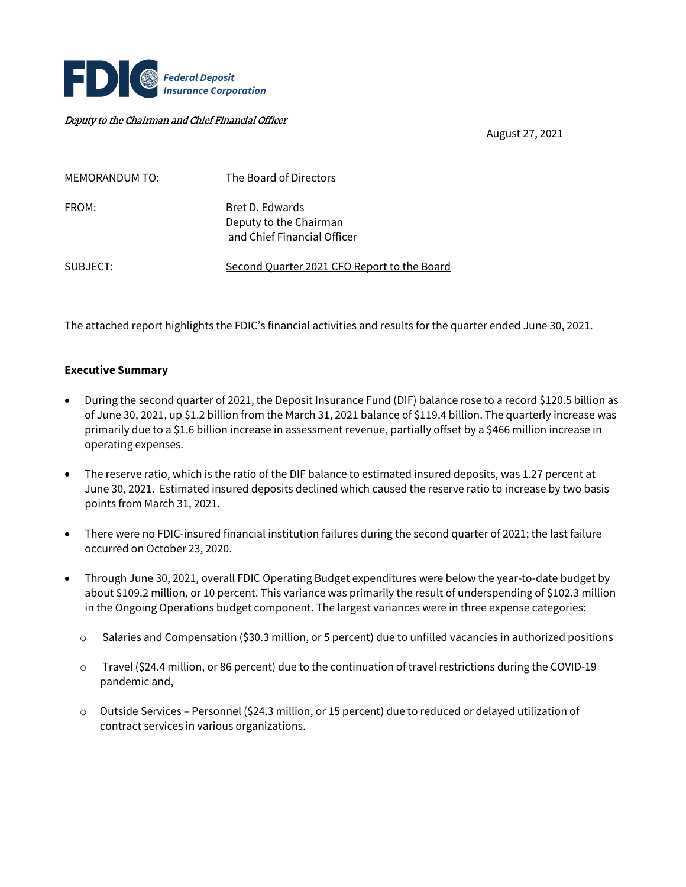

#### Deputy to the Chairman and Chief Financial Officer

August 27, 2021

| MEMORANDUM TO: | The Board of Directors                                                   |
|----------------|--------------------------------------------------------------------------|
| FROM:          | Bret D. Edwards<br>Deputy to the Chairman<br>and Chief Financial Officer |
| SUBJECT:       | Second Quarter 2021 CFO Report to the Board                              |

The attached report highlights the FDIC's financial activities and results for the quarter ended June 30, 2021.

#### **Executive Summary**

- During the second quarter of 2021, the Deposit Insurance Fund (DIF) balance rose to a record \$120.5 billion as of June 30, 2021, up \$1.2 billion from the March 31, 2021 balance of \$119.4 billion. The quarterly increase was primarily due to a \$1.6 billion increase in assessment revenue, partially offset by a \$466 million increase in operating expenses.
- The reserve ratio, which is the ratio of the DIF balance to estimated insured deposits, was 1.27 percent at June 30, 2021. Estimated insured deposits declined which caused the reserve ratio to increase by two basis points from March 31, 2021.
- There were no FDIC-insured financial institution failures during the second quarter of 2021; the last failure occurred on October 23, 2020.
- Through June 30, 2021, overall FDIC Operating Budget expenditures were below the year-to-date budget by about \$109.2 million, or 10 percent. This variance was primarily the result of underspending of \$102.3 million in the Ongoing Operations budget component. The largest variances were in three expense categories:
	- o Salaries and Compensation (\$30.3 million, or 5 percent) due to unfilled vacancies in authorized positions
	- $\circ$  Travel (\$24.4 million, or 86 percent) due to the continuation of travel restrictions during the COVID-19 pandemic and,
	- o Outside Services Personnel (\$24.3 million, or 15 percent) due to reduced or delayed utilization of contract services in various organizations.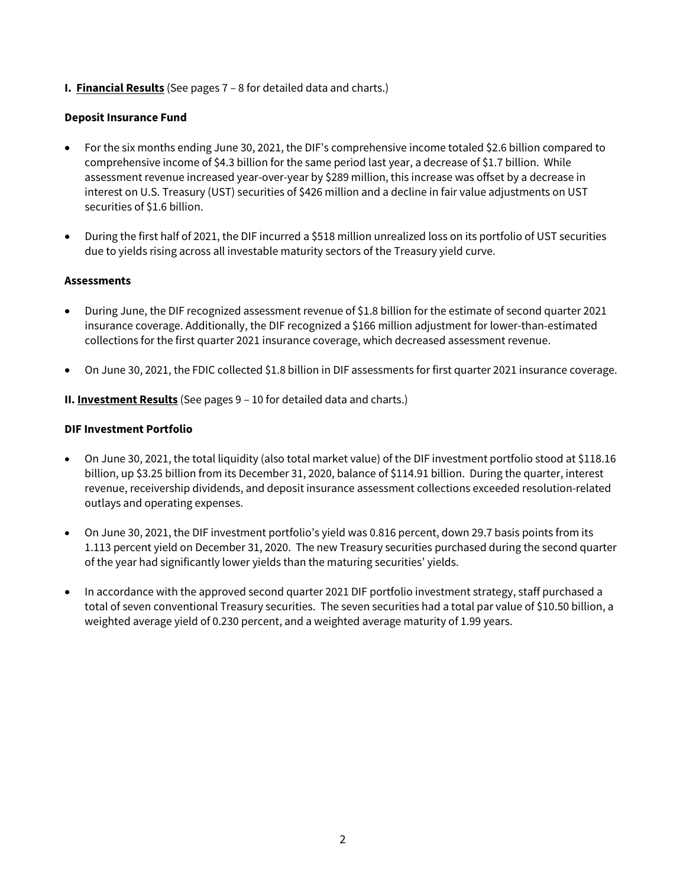**I. Financial Results** (See pages 7 – 8 for detailed data and charts.)

## **Deposit Insurance Fund**

- For the six months ending June 30, 2021, the DIF's comprehensive income totaled \$2.6 billion compared to comprehensive income of \$4.3 billion for the same period last year, a decrease of \$1.7 billion. While assessment revenue increased year-over-year by \$289 million, this increase was offset by a decrease in interest on U.S. Treasury (UST) securities of \$426 million and a decline in fair value adjustments on UST securities of \$1.6 billion.
- During the first half of 2021, the DIF incurred a \$518 million unrealized loss on its portfolio of UST securities due to yields rising across all investable maturity sectors of the Treasury yield curve.

## **Assessments**

- During June, the DIF recognized assessment revenue of \$1.8 billion for the estimate of second quarter 2021 insurance coverage. Additionally, the DIF recognized a \$166 million adjustment for lower-than-estimated collections for the first quarter 2021 insurance coverage, which decreased assessment revenue.
- On June 30, 2021, the FDIC collected \$1.8 billion in DIF assessments for first quarter 2021 insurance coverage.

**II. Investment Results** (See pages 9 – 10 for detailed data and charts.)

## **DIF Investment Portfolio**

- On June 30, 2021, the total liquidity (also total market value) of the DIF investment portfolio stood at \$118.16 billion, up \$3.25 billion from its December 31, 2020, balance of \$114.91 billion. During the quarter, interest revenue, receivership dividends, and deposit insurance assessment collections exceeded resolution-related outlays and operating expenses.
- On June 30, 2021, the DIF investment portfolio's yield was 0.816 percent, down 29.7 basis points from its 1.113 percent yield on December 31, 2020. The new Treasury securities purchased during the second quarter of the year had significantly lower yields than the maturing securities' yields.
- In accordance with the approved second quarter 2021 DIF portfolio investment strategy, staff purchased a total of seven conventional Treasury securities. The seven securities had a total par value of \$10.50 billion, a weighted average yield of 0.230 percent, and a weighted average maturity of 1.99 years.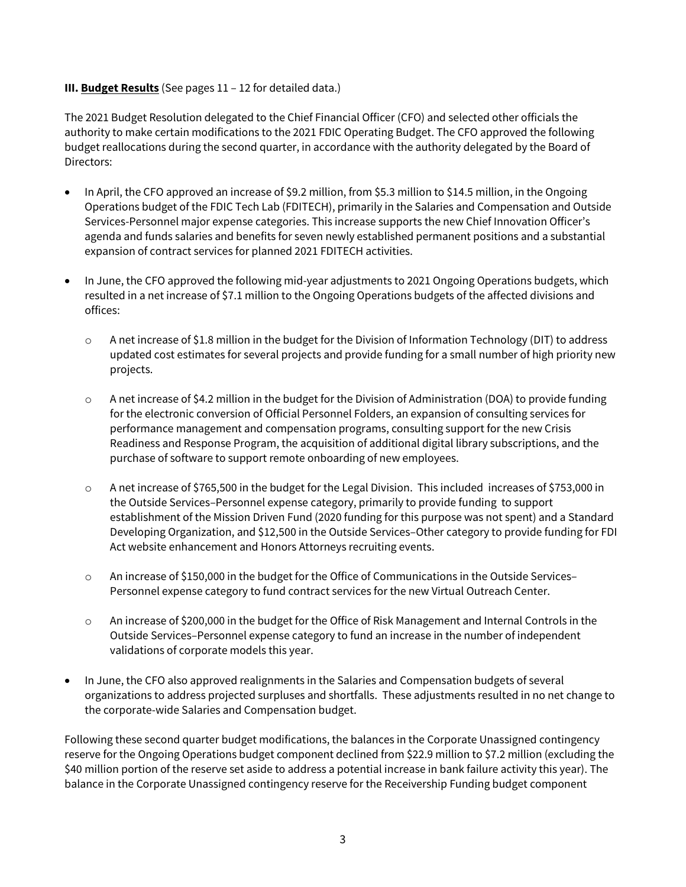### **III. Budget Results** (See pages 11 – 12 for detailed data.)

The 2021 Budget Resolution delegated to the Chief Financial Officer (CFO) and selected other officials the authority to make certain modifications to the 2021 FDIC Operating Budget. The CFO approved the following budget reallocations during the second quarter, in accordance with the authority delegated by the Board of Directors:

- In April, the CFO approved an increase of \$9.2 million, from \$5.3 million to \$14.5 million, in the Ongoing Operations budget of the FDIC Tech Lab (FDITECH), primarily in the Salaries and Compensation and Outside Services-Personnel major expense categories. This increase supports the new Chief Innovation Officer's agenda and funds salaries and benefits for seven newly established permanent positions and a substantial expansion of contract services for planned 2021 FDITECH activities.
- In June, the CFO approved the following mid-year adjustments to 2021 Ongoing Operations budgets, which resulted in a net increase of \$7.1 million to the Ongoing Operations budgets of the affected divisions and offices:
	- $\circ$  A net increase of \$1.8 million in the budget for the Division of Information Technology (DIT) to address updated cost estimates for several projects and provide funding for a small number of high priority new projects.
	- $\circ$  A net increase of \$4.2 million in the budget for the Division of Administration (DOA) to provide funding for the electronic conversion of Official Personnel Folders, an expansion of consulting services for performance management and compensation programs, consulting support for the new Crisis Readiness and Response Program, the acquisition of additional digital library subscriptions, and the purchase of software to support remote onboarding of new employees.
	- o A net increase of \$765,500 in the budget for the Legal Division. This included increases of \$753,000 in the Outside Services–Personnel expense category, primarily to provide funding to support establishment of the Mission Driven Fund (2020 funding for this purpose was not spent) and a Standard Developing Organization, and \$12,500 in the Outside Services–Other category to provide funding for FDI Act website enhancement and Honors Attorneys recruiting events.
	- o An increase of \$150,000 in the budget for the Office of Communications in the Outside Services– Personnel expense category to fund contract services for the new Virtual Outreach Center.
	- o An increase of \$200,000 in the budget for the Office of Risk Management and Internal Controls in the Outside Services–Personnel expense category to fund an increase in the number of independent validations of corporate models this year.
- In June, the CFO also approved realignments in the Salaries and Compensation budgets of several organizations to address projected surpluses and shortfalls. These adjustments resulted in no net change to the corporate-wide Salaries and Compensation budget.

Following these second quarter budget modifications, the balances in the Corporate Unassigned contingency reserve for the Ongoing Operations budget component declined from \$22.9 million to \$7.2 million (excluding the \$40 million portion of the reserve set aside to address a potential increase in bank failure activity this year). The balance in the Corporate Unassigned contingency reserve for the Receivership Funding budget component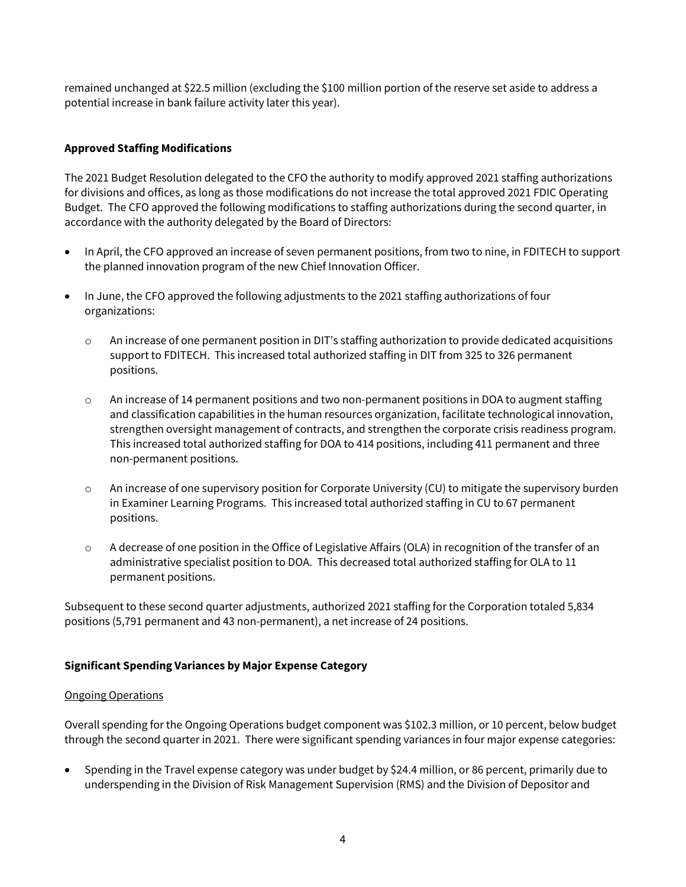remained unchanged at \$22.5 million (excluding the \$100 million portion of the reserve set aside to address a potential increase in bank failure activity later this year).

## **Approved Staffing Modifications**

The 2021 Budget Resolution delegated to the CFO the authority to modify approved 2021 staffing authorizations for divisions and offices, as long as those modifications do not increase the total approved 2021 FDIC Operating Budget. The CFO approved the following modifications to staffing authorizations during the second quarter, in accordance with the authority delegated by the Board of Directors:

- In April, the CFO approved an increase of seven permanent positions, from two to nine, in FDITECH to support the planned innovation program of the new Chief Innovation Officer.
- In June, the CFO approved the following adjustments to the 2021 staffing authorizations of four organizations:
	- o An increase of one permanent position in DIT's staffing authorization to provide dedicated acquisitions support to FDITECH. This increased total authorized staffing in DIT from 325 to 326 permanent positions.
	- o An increase of 14 permanent positions and two non-permanent positions in DOA to augment staffing and classification capabilities in the human resources organization, facilitate technological innovation, strengthen oversight management of contracts, and strengthen the corporate crisis readiness program. This increased total authorized staffing for DOA to 414 positions, including 411 permanent and three non-permanent positions.
	- o An increase of one supervisory position for Corporate University (CU) to mitigate the supervisory burden in Examiner Learning Programs. This increased total authorized staffing in CU to 67 permanent positions.
	- o A decrease of one position in the Office of Legislative Affairs (OLA) in recognition of the transfer of an administrative specialist position to DOA. This decreased total authorized staffing for OLA to 11 permanent positions.

Subsequent to these second quarter adjustments, authorized 2021 staffing for the Corporation totaled 5,834 positions (5,791 permanent and 43 non-permanent), a net increase of 24 positions.

#### **Significant Spending Variances by Major Expense Category**

#### Ongoing Operations

Overall spending for the Ongoing Operations budget component was \$102.3 million, or 10 percent, below budget through the second quarter in 2021. There were significant spending variances in four major expense categories:

• Spending in the Travel expense category was under budget by \$24.4 million, or 86 percent, primarily due to underspending in the Division of Risk Management Supervision (RMS) and the Division of Depositor and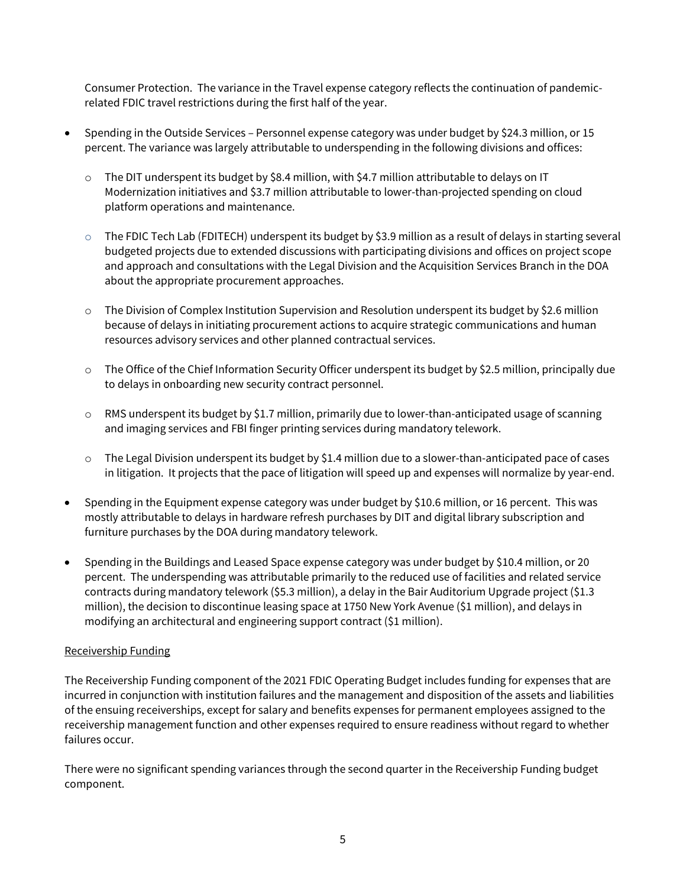Consumer Protection. The variance in the Travel expense category reflects the continuation of pandemicrelated FDIC travel restrictions during the first half of the year.

- Spending in the Outside Services Personnel expense category was under budget by \$24.3 million, or 15 percent. The variance was largely attributable to underspending in the following divisions and offices:
	- o The DIT underspent its budget by \$8.4 million, with \$4.7 million attributable to delays on IT Modernization initiatives and \$3.7 million attributable to lower-than-projected spending on cloud platform operations and maintenance.
	- $\circ$  The FDIC Tech Lab (FDITECH) underspent its budget by \$3.9 million as a result of delays in starting several budgeted projects due to extended discussions with participating divisions and offices on project scope and approach and consultations with the Legal Division and the Acquisition Services Branch in the DOA about the appropriate procurement approaches.
	- $\circ$  The Division of Complex Institution Supervision and Resolution underspent its budget by \$2.6 million because of delays in initiating procurement actions to acquire strategic communications and human resources advisory services and other planned contractual services.
	- $\circ$  The Office of the Chief Information Security Officer underspent its budget by \$2.5 million, principally due to delays in onboarding new security contract personnel.
	- $\circ$  RMS underspent its budget by \$1.7 million, primarily due to lower-than-anticipated usage of scanning and imaging services and FBI finger printing services during mandatory telework.
	- $\circ$  The Legal Division underspent its budget by \$1.4 million due to a slower-than-anticipated pace of cases in litigation. It projects that the pace of litigation will speed up and expenses will normalize by year-end.
- Spending in the Equipment expense category was under budget by \$10.6 million, or 16 percent. This was mostly attributable to delays in hardware refresh purchases by DIT and digital library subscription and furniture purchases by the DOA during mandatory telework.
- Spending in the Buildings and Leased Space expense category was under budget by \$10.4 million, or 20 percent. The underspending was attributable primarily to the reduced use of facilities and related service contracts during mandatory telework (\$5.3 million), a delay in the Bair Auditorium Upgrade project (\$1.3 million), the decision to discontinue leasing space at 1750 New York Avenue (\$1 million), and delays in modifying an architectural and engineering support contract (\$1 million).

#### Receivership Funding

The Receivership Funding component of the 2021 FDIC Operating Budget includes funding for expenses that are incurred in conjunction with institution failures and the management and disposition of the assets and liabilities of the ensuing receiverships, except for salary and benefits expenses for permanent employees assigned to the receivership management function and other expenses required to ensure readiness without regard to whether failures occur.

There were no significant spending variances through the second quarter in the Receivership Funding budget component.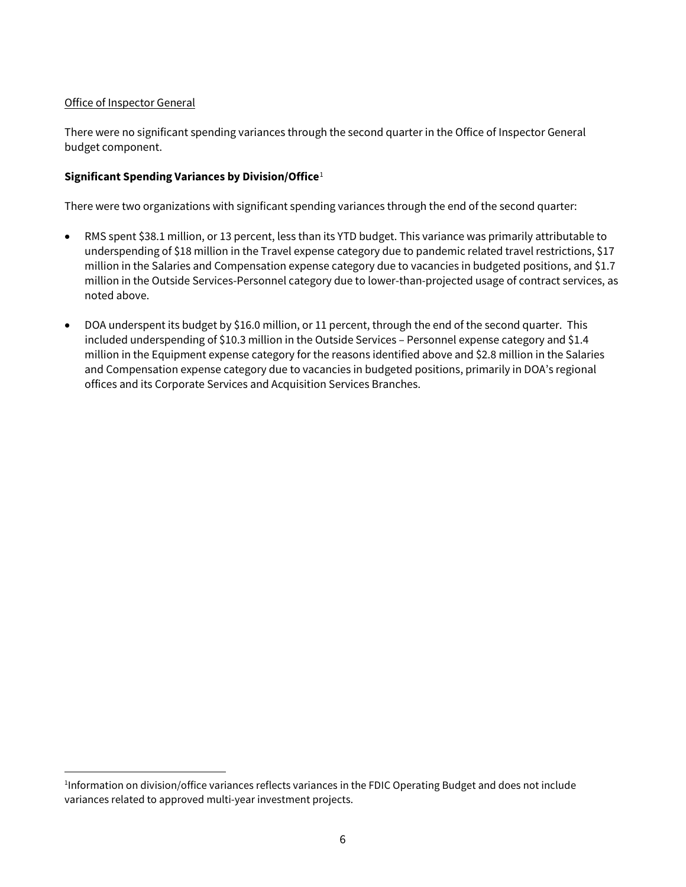## Office of Inspector General

 $\overline{a}$ 

There were no significant spending variances through the second quarter in the Office of Inspector General budget component.

## **Significant Spending Variances by Division/Office**[1](#page-5-0)

There were two organizations with significant spending variances through the end of the second quarter:

- RMS spent \$38.1 million, or 13 percent, less than its YTD budget. This variance was primarily attributable to underspending of \$18 million in the Travel expense category due to pandemic related travel restrictions, \$17 million in the Salaries and Compensation expense category due to vacancies in budgeted positions, and \$1.7 million in the Outside Services-Personnel category due to lower-than-projected usage of contract services, as noted above.
- DOA underspent its budget by \$16.0 million, or 11 percent, through the end of the second quarter. This included underspending of \$10.3 million in the Outside Services – Personnel expense category and \$1.4 million in the Equipment expense category for the reasons identified above and \$2.8 million in the Salaries and Compensation expense category due to vacancies in budgeted positions, primarily in DOA's regional offices and its Corporate Services and Acquisition Services Branches.

<span id="page-5-0"></span><sup>1</sup> Information on division/office variances reflects variances in the FDIC Operating Budget and does not include variances related to approved multi-year investment projects.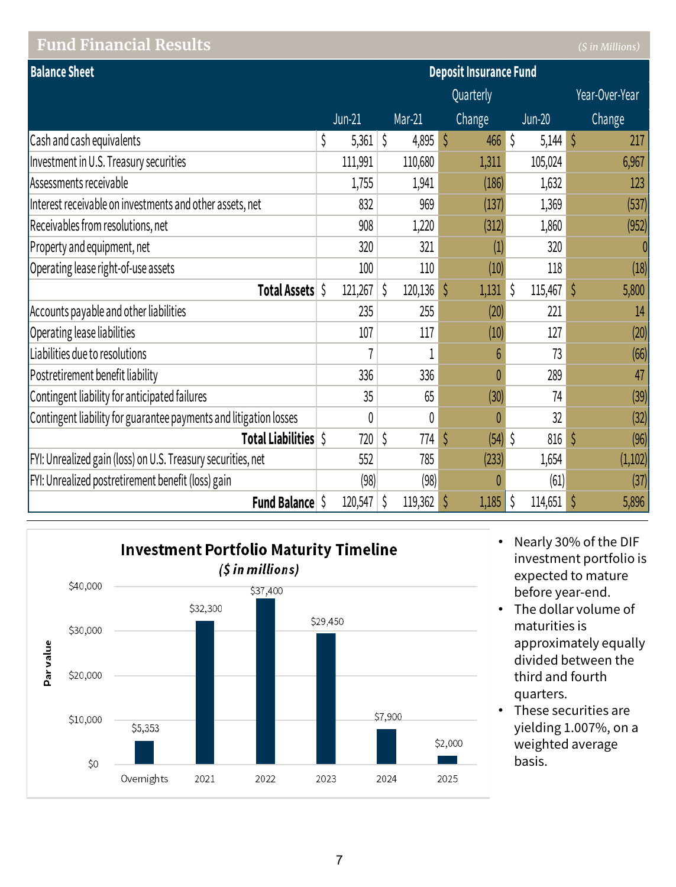# **Fund Financial Results** *(\$ in Millions)*

| <b>Balance Sheet</b>                                              | <b>Deposit Insurance Fund</b> |          |    |         |    |               |               |          |               |                |
|-------------------------------------------------------------------|-------------------------------|----------|----|---------|----|---------------|---------------|----------|---------------|----------------|
|                                                                   |                               |          |    |         |    | Quarterly     |               |          |               | Year-Over-Year |
|                                                                   |                               | $Jun-21$ |    | Mar-21  |    | <b>Change</b> |               | $Jun-20$ |               | Change         |
| Cash and cash equivalents                                         | \$                            | 5,361    | \$ | 4,895   | \$ | 466           | $\vert \zeta$ | 5,144    | $\zeta$       | 217            |
| Investment in U.S. Treasury securities                            |                               | 111,991  |    | 110,680 |    | 1,311         |               | 105,024  |               | 6,967          |
| Assessments receivable                                            |                               | 1,755    |    | 1,941   |    | (186)         |               | 1,632    |               | 123            |
| Interest receivable on investments and other assets, net          |                               | 832      |    | 969     |    | (137)         |               | 1,369    |               | (537)          |
| Receivables from resolutions, net                                 |                               | 908      |    | 1,220   |    | (312)         |               | 1,860    |               | (952)          |
| Property and equipment, net                                       |                               | 320      |    | 321     |    | (1)           |               | 320      |               | 0              |
| Operating lease right-of-use assets                               |                               | 100      |    | 110     |    | (10)          |               | 118      |               | (18)           |
| Total Assets \$                                                   |                               | 121,267  | \$ | 120,136 | \$ | 1,131         | l \$          | 115,467  | $\mathcal{S}$ | 5,800          |
| Accounts payable and other liabilities                            |                               | 235      |    | 255     |    | (20)          |               | 221      |               | 14             |
| Operating lease liabilities                                       |                               | 107      |    | 117     |    | (10)          |               | 127      |               | (20)           |
| Liabilities due to resolutions                                    |                               |          |    | 1       |    | 6             |               | 73       |               | (66)           |
| Postretirement benefit liability                                  |                               | 336      |    | 336     |    | $\theta$      |               | 289      |               | 47             |
| Contingent liability for anticipated failures                     |                               | 35       |    | 65      |    | (30)          |               | 74       |               | (39)           |
| Contingent liability for guarantee payments and litigation losses |                               | 0        |    | 0       |    |               |               | 32       |               | (32)           |
| Total Liabilities \$                                              |                               | 720      | \$ | 774     | Ś  | $(54)$ \$     |               | 816      | $\zeta$       | (96)           |
| FYI: Unrealized gain (loss) on U.S. Treasury securities, net      |                               | 552      |    | 785     |    | (233)         |               | 1,654    |               | (1,102)        |
| FYI: Unrealized postretirement benefit (loss) gain                |                               | (98)     |    | (98)    |    |               |               | (61)     |               | (37)           |
| <b>Fund Balance</b> \$                                            |                               | 120,547  | \$ | 119,362 |    | 1,185         | \$            | 114,651  |               | 5,896          |



- Nearly 30% of the DIF investment portfolio is expected to mature before year-end.
- The dollar volume of maturities is approximately equally divided between the third and fourth quarters.
- These securities are yielding 1.007%, on a weighted average basis.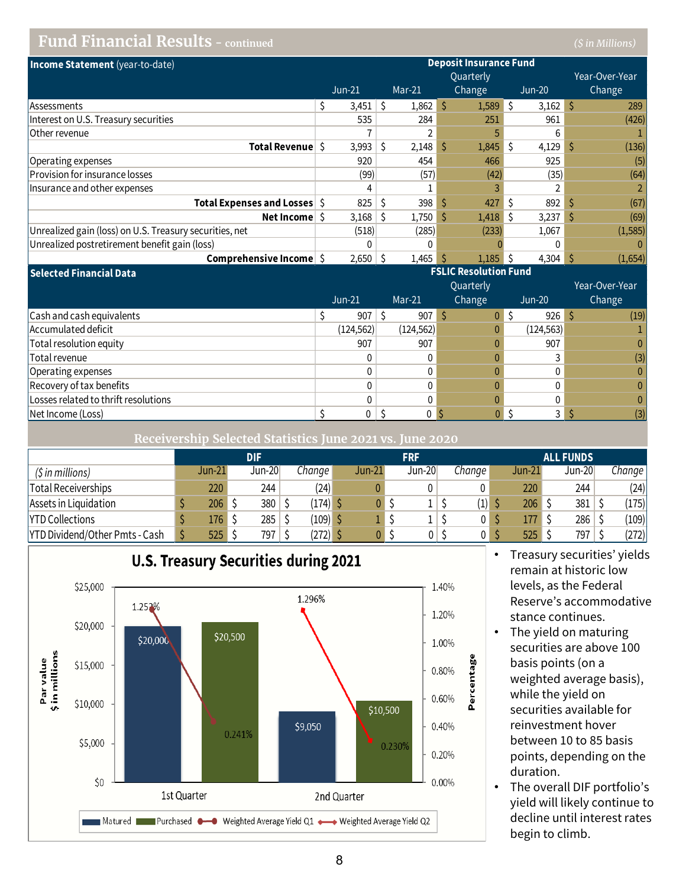## **Fund Financial Results - continued** *(\$ in Millions)*

| Income Statement (year-to-date)                         | <b>Deposit Insurance Fund</b> |          |   |          |    |            |    |            |  |                |
|---------------------------------------------------------|-------------------------------|----------|---|----------|----|------------|----|------------|--|----------------|
|                                                         |                               |          |   |          |    | Quarterly  |    |            |  | Year-Over-Year |
|                                                         |                               | $Jun-21$ |   | $Mar-21$ |    | Change     |    | $Jun-20$   |  | Change         |
| <b>Assessments</b>                                      |                               | 3,451    | S | 1,862    | Ŝ  | $1,589$ \$ |    | $3,162$ \$ |  | 289            |
| Interest on U.S. Treasury securities                    |                               | 535      |   | 284      |    | 251        |    | 961        |  | (426)          |
| Other revenue                                           |                               |          |   |          |    |            |    | 6          |  |                |
| Total Revenue S                                         |                               | 3,993    | Ŝ | 2.148    | Ŝ  | $1,845$ \$ |    | 4,129      |  | (136)          |
| Operating expenses                                      |                               | 920      |   | 454      |    | 466        |    | 925        |  | (5)            |
| <b>Provision for insurance losses</b>                   |                               | (99)     |   | (57)     |    | (42)       |    | (35)       |  | (64)           |
| Insurance and other expenses                            |                               |          |   |          |    |            |    |            |  | 2              |
| <b>Total Expenses and Losses</b> S                      |                               | 825      | S | 398      | Ŝ  | 427        |    | 892        |  | (67)           |
| Net Income                                              |                               | 3,168    | S | 1,750    | -S | 1,418      | ΙS | 3,237      |  | (69)           |
| Unrealized gain (loss) on U.S. Treasury securities, net |                               | (518)    |   | (285)    |    | (233)      |    | 1,067      |  | (1, 585)       |
| Unrealized postretirement benefit gain (loss)           |                               |          |   |          |    |            |    | 0          |  | $\Omega$       |
| Comprehensive Income                                    |                               | 2,650    |   | 1,465    |    | $1,185$ \$ |    | 4,304      |  | (1,654)        |

**Selected Financial Data**

|                                      | $Jun-21$ |              | Mar-21     | Quarterly<br>Change |     | $Jun-20$   | Year-Over-Year<br>Change |
|--------------------------------------|----------|--------------|------------|---------------------|-----|------------|--------------------------|
| Cash and cash equivalents            |          | 907          | 907        |                     | 0 S | $926$ \$   | (19)                     |
| Accumulated deficit                  |          | (124, 562)   | (124, 562) |                     |     | (124, 563) |                          |
| Total resolution equity              |          | 907          | 907        |                     |     | 907        |                          |
| Total revenue                        |          |              |            |                     |     |            | (3)                      |
| Operating expenses                   |          |              |            |                     |     |            | 0                        |
| Recovery of tax benefits             |          |              |            |                     |     |            | 0                        |
| Losses related to thrift resolutions |          |              |            |                     |     |            | 0                        |
| Net Income (Loss)                    |          | $\mathbf{0}$ |            |                     |     |            | (3)                      |

**Receivership Selected Statistics June 2021 vs. June 2020**

|                                       | DIF               |  |        |  | <b>FRF</b> |               |  |          |  | <b>ALL FUNDS</b> |  |        |  |        |  |          |
|---------------------------------------|-------------------|--|--------|--|------------|---------------|--|----------|--|------------------|--|--------|--|--------|--|----------|
| (\$ in millions)                      | $Jun-21$          |  | Jun-20 |  | Change l   | <b>Jun-21</b> |  | $Jun-20$ |  | Chanae           |  | Jun-21 |  | Jun-20 |  | Change I |
| Total Receiverships                   | 220               |  | 244    |  | (24)       |               |  |          |  |                  |  | 220    |  | 244    |  | (24)     |
| Assets in Liquidation                 | $206 \, \text{S}$ |  | 380    |  | $(174)$ \$ |               |  |          |  | (1)              |  | 206    |  | 381    |  | (175)    |
| <b>YTD Collections</b>                | 176 S             |  | 285    |  | $(109)$ \$ |               |  |          |  |                  |  | 177    |  | 286    |  | (109)    |
| <b>YTD Dividend/Other Pmts - Cash</b> | $525$ \$          |  | 797    |  | (272) \$   |               |  |          |  |                  |  | 525    |  | 797    |  | (272)    |



• Treasury securities' yields remain at historic low levels, as the Federal Reserve's accommodative stance continues.

**FSLIC Resolution Fund**

- The yield on maturing securities are above 100 basis points (on a weighted average basis), while the yield on securities available for reinvestment hover between 10 to 85 basis points, depending on the duration.
- The overall DIF portfolio's yield will likely continue to decline until interest rates begin to climb.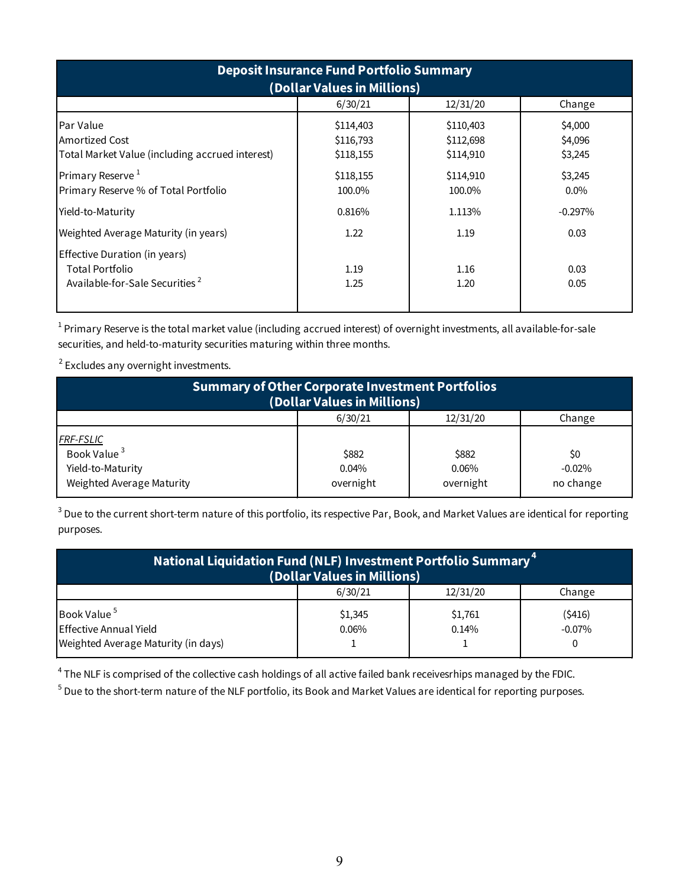| <b>Deposit Insurance Fund Portfolio Summary</b><br>(Dollar Values in Millions)                 |                                     |                                     |                               |  |  |  |  |  |  |  |
|------------------------------------------------------------------------------------------------|-------------------------------------|-------------------------------------|-------------------------------|--|--|--|--|--|--|--|
|                                                                                                | 6/30/21                             | 12/31/20                            | Change                        |  |  |  |  |  |  |  |
| <b>Par Value</b><br><b>Amortized Cost</b><br>Total Market Value (including accrued interest)   | \$114,403<br>\$116,793<br>\$118,155 | \$110,403<br>\$112,698<br>\$114,910 | \$4,000<br>\$4,096<br>\$3,245 |  |  |  |  |  |  |  |
| Primary Reserve $1$<br>Primary Reserve % of Total Portfolio                                    | \$118,155<br>100.0%                 | \$114,910<br>100.0%                 | \$3,245<br>$0.0\%$            |  |  |  |  |  |  |  |
| Yield-to-Maturity                                                                              | 0.816%                              | 1.113%                              | $-0.297%$                     |  |  |  |  |  |  |  |
| Weighted Average Maturity (in years)                                                           | 1.22                                | 1.19                                | 0.03                          |  |  |  |  |  |  |  |
| Effective Duration (in years)<br>Total Portfolio<br>Available-for-Sale Securities <sup>2</sup> | 1.19<br>1.25                        | 1.16<br>1.20                        | 0.03<br>0.05                  |  |  |  |  |  |  |  |

 $^1$  Primary Reserve is the total market value (including accrued interest) of overnight investments, all available-for-sale securities, and held-to-maturity securities maturing within three months.

 $\overline{\phantom{a}}$  $2$  Excludes any overnight investments.

| <b>Summary of Other Corporate Investment Portfolios</b><br>(Dollar Values in Millions)        |                             |                                |                              |  |  |  |  |  |  |  |
|-----------------------------------------------------------------------------------------------|-----------------------------|--------------------------------|------------------------------|--|--|--|--|--|--|--|
|                                                                                               | 6/30/21                     | 12/31/20                       | Change                       |  |  |  |  |  |  |  |
| <b>FRF-FSLIC</b><br>Book Value <sup>3</sup><br>Yield-to-Maturity<br>Weighted Average Maturity | \$882<br>0.04%<br>overnight | \$882<br>$0.06\%$<br>overnight | \$0<br>$-0.02%$<br>no change |  |  |  |  |  |  |  |

 $^3$  Due to the current short-term nature of this portfolio, its respective Par, Book, and Market Values are identical for reporting purposes.

| National Liquidation Fund (NLF) Investment Portfolio Summary <sup>4</sup><br>(Dollar Values in Millions) |                  |                  |                     |  |  |  |  |  |  |  |
|----------------------------------------------------------------------------------------------------------|------------------|------------------|---------------------|--|--|--|--|--|--|--|
|                                                                                                          | 6/30/21          | 12/31/20         | Change              |  |  |  |  |  |  |  |
| Book Value <sup>5</sup><br>Effective Annual Yield                                                        | \$1,345<br>0.06% | \$1,761<br>0.14% | (\$416)<br>$-0.07%$ |  |  |  |  |  |  |  |
| Weighted Average Maturity (in days)                                                                      |                  |                  |                     |  |  |  |  |  |  |  |

 $^4$  The NLF is comprised of the collective cash holdings of all active failed bank receivesrhips managed by the FDIC.

 $^5$  Due to the short-term nature of the NLF portfolio, its Book and Market Values are identical for reporting purposes.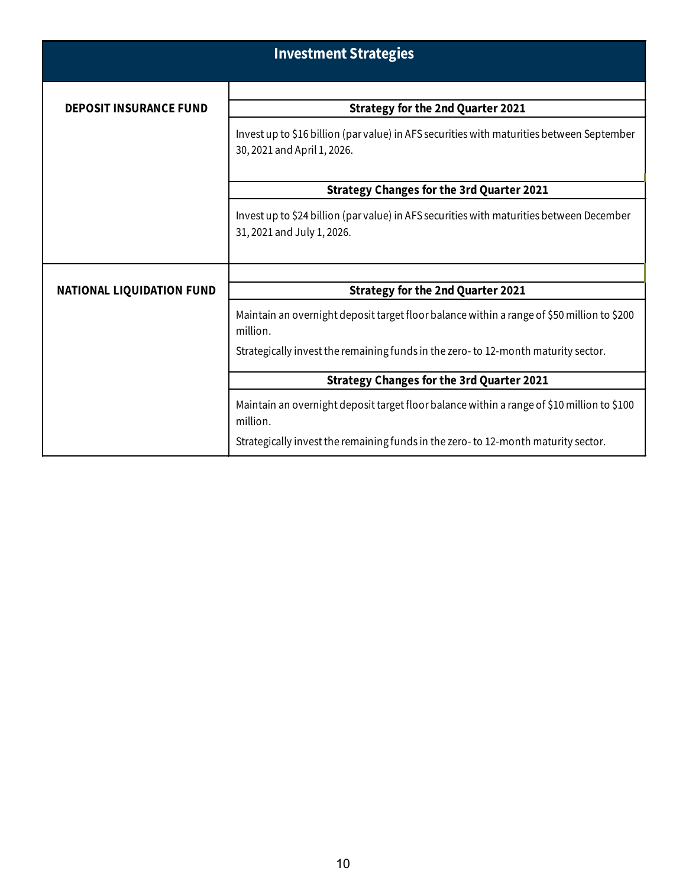|                                  | <b>Investment Strategies</b>                                                                                             |  |  |  |  |  |  |  |  |  |
|----------------------------------|--------------------------------------------------------------------------------------------------------------------------|--|--|--|--|--|--|--|--|--|
|                                  |                                                                                                                          |  |  |  |  |  |  |  |  |  |
| <b>DEPOSIT INSURANCE FUND</b>    | <b>Strategy for the 2nd Quarter 2021</b>                                                                                 |  |  |  |  |  |  |  |  |  |
|                                  | Invest up to \$16 billion (par value) in AFS securities with maturities between September<br>30, 2021 and April 1, 2026. |  |  |  |  |  |  |  |  |  |
|                                  | <b>Strategy Changes for the 3rd Quarter 2021</b>                                                                         |  |  |  |  |  |  |  |  |  |
|                                  | Invest up to \$24 billion (parvalue) in AFS securities with maturities between December<br>31, 2021 and July 1, 2026.    |  |  |  |  |  |  |  |  |  |
|                                  |                                                                                                                          |  |  |  |  |  |  |  |  |  |
| <b>NATIONAL LIQUIDATION FUND</b> | <b>Strategy for the 2nd Quarter 2021</b>                                                                                 |  |  |  |  |  |  |  |  |  |
|                                  | Maintain an overnight deposit target floor balance within a range of \$50 million to \$200<br>million.                   |  |  |  |  |  |  |  |  |  |
|                                  | Strategically invest the remaining funds in the zero- to 12-month maturity sector.                                       |  |  |  |  |  |  |  |  |  |
|                                  | <b>Strategy Changes for the 3rd Quarter 2021</b>                                                                         |  |  |  |  |  |  |  |  |  |
|                                  | Maintain an overnight deposit target floor balance within a range of \$10 million to \$100<br>million.                   |  |  |  |  |  |  |  |  |  |
|                                  | Strategically invest the remaining funds in the zero- to 12-month maturity sector.                                       |  |  |  |  |  |  |  |  |  |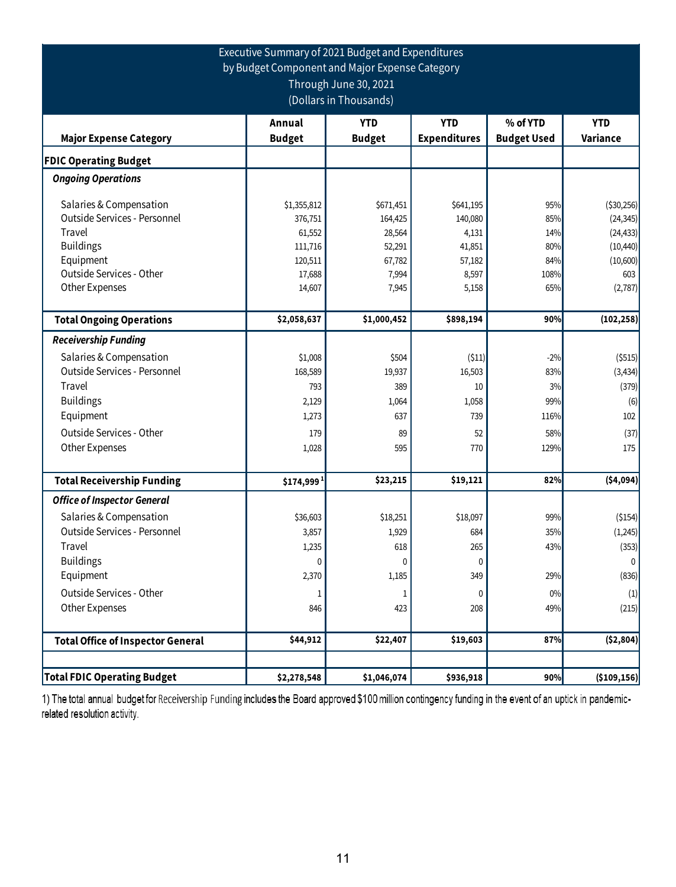## Executive Summary of 2021 Budget and Expenditures by Budget Component and Major Expense Category Through June 30, 2021 (Dollars in Thousands)

|                                          | Annual        | <b>YTD</b>    | <b>YTD</b>          | % of YTD           | <b>YTD</b>    |
|------------------------------------------|---------------|---------------|---------------------|--------------------|---------------|
| <b>Major Expense Category</b>            | <b>Budget</b> | <b>Budget</b> | <b>Expenditures</b> | <b>Budget Used</b> | Variance      |
| <b>FDIC Operating Budget</b>             |               |               |                     |                    |               |
| <b>Ongoing Operations</b>                |               |               |                     |                    |               |
| Salaries & Compensation                  | \$1,355,812   | \$671,451     | \$641,195           | 95%                | ( \$30,256)   |
| Outside Services - Personnel             | 376,751       | 164,425       | 140,080             | 85%                | (24, 345)     |
| Travel                                   | 61,552        | 28,564        | 4,131               | 14%                | (24, 433)     |
| <b>Buildings</b>                         | 111,716       | 52,291        | 41,851              | 80%                | (10, 440)     |
| Equipment                                | 120,511       | 67,782        | 57,182              | 84%                | (10,600)      |
| Outside Services - Other                 | 17,688        | 7,994         | 8,597               | 108%               | 603           |
| Other Expenses                           | 14,607        | 7,945         | 5,158               | 65%                | (2,787)       |
| <b>Total Ongoing Operations</b>          | \$2,058,637   | \$1,000,452   | \$898,194           | 90%                | (102, 258)    |
| <b>Receivership Funding</b>              |               |               |                     |                    |               |
| Salaries & Compensation                  | \$1,008       | \$504         | (511)               | $-2%$              | ( \$515)      |
| Outside Services - Personnel             | 168,589       | 19,937        | 16,503              | 83%                | (3, 434)      |
| <b>Travel</b>                            | 793           | 389           | 10                  | 3%                 | (379)         |
| <b>Buildings</b>                         | 2,129         | 1,064         | 1,058               | 99%                | (6)           |
| Equipment                                | 1,273         | 637           | 739                 | 116%               | 102           |
| Outside Services - Other                 | 179           | 89            | 52                  | 58%                | (37)          |
| Other Expenses                           | 1,028         | 595           | 770                 | 129%               | 175           |
|                                          |               |               |                     |                    |               |
| <b>Total Receivership Funding</b>        | \$174,999     | \$23,215      | \$19,121            | 82%                | (54, 094)     |
| <b>Office of Inspector General</b>       |               |               |                     |                    |               |
| Salaries & Compensation                  | \$36,603      | \$18,251      | \$18,097            | 99%                | (\$154)       |
| Outside Services - Personnel             | 3,857         | 1,929         | 684                 | 35%                | (1,245)       |
| Travel                                   | 1,235         | 618           | 265                 | 43%                | (353)         |
| <b>Buildings</b>                         | $\mathbf{0}$  | $\mathbf{0}$  | 0                   |                    | $\mathbf{0}$  |
| Equipment                                | 2,370         | 1,185         | 349                 | 29%                | (836)         |
| Outside Services - Other                 | 1             | 1             | 0                   | 0%                 | (1)           |
| Other Expenses                           | 846           | 423           | 208                 | 49%                | (215)         |
| <b>Total Office of Inspector General</b> | \$44,912      | \$22,407      | \$19,603            | 87%                | ( \$2,804)    |
|                                          |               |               |                     |                    |               |
| <b>Total FDIC Operating Budget</b>       | \$2,278,548   | \$1,046,074   | \$936,918           | 90%                | ( \$109, 156) |

1) The total annual budget for Receivership Funding includes the Board approved \$100 million contingency funding in the event of an uptick in pandemicrelated resolution activity.